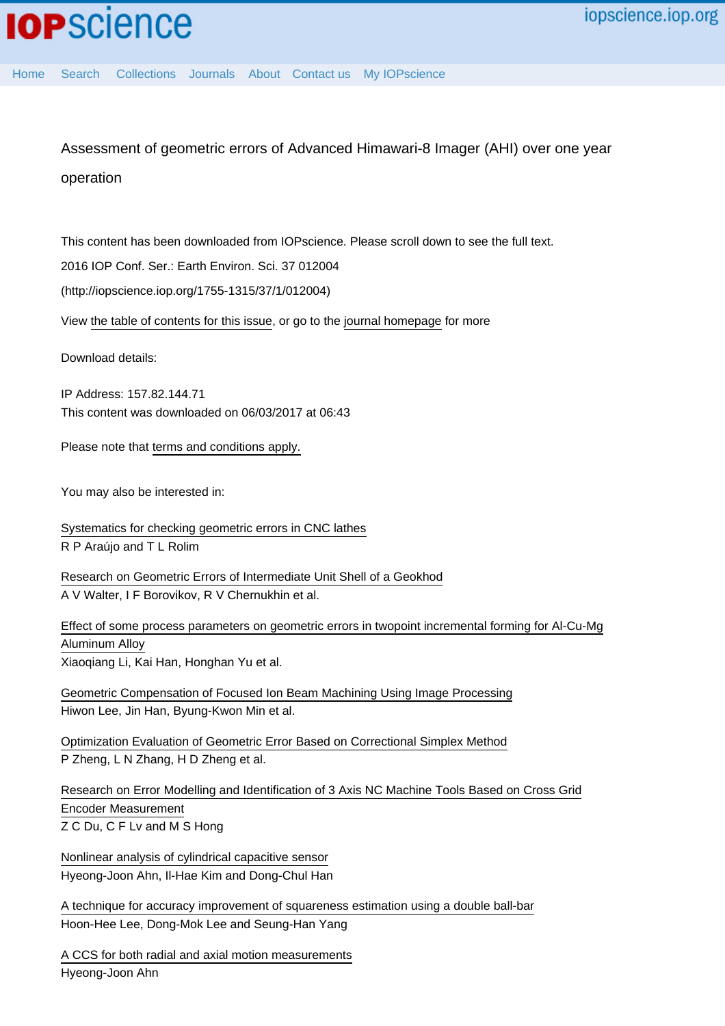Assessment of geometric errors of Advanced Himawari-8 Imager (AHI) over one year operation

This content has been downloaded from IOPscience. Please scroll down to see the full text.

2016 IOP Conf. Ser.: Earth Environ. Sci. 37 012004

(http://iopscience.iop.org/1755-1315/37/1/012004)

View [the table of contents for this issue](http://iopscience.iop.org/1755-1315/37/1), or go to the [journal homepage](http://iopscience.iop.org/1755-1315) for more

Download details:

IP Address: 157.82.144.71 This content was downloaded on 06/03/2017 at 06:43

Please note that [terms and conditions apply.](http://iopscience.iop.org/page/terms)

You may also be interested in:

[Systematics for checking geometric errors in CNC lathes](http://iopscience.iop.org/article/10.1088/1742-6596/648/1/012024) R P Araújo and T L Rolim

[Research on Geometric Errors of Intermediate Unit Shell of a Geokhod](http://iopscience.iop.org/article/10.1088/1757-899X/127/1/012017) A V Walter, I F Borovikov, R V Chernukhin et al.

[Effect of some process parameters on geometric errors in twopoint incremental forming for Al-Cu-Mg](http://iopscience.iop.org/article/10.1088/1742-6596/734/3/032078) [Aluminum Alloy](http://iopscience.iop.org/article/10.1088/1742-6596/734/3/032078) Xiaoqiang Li, Kai Han, Honghan Yu et al.

[Geometric Compensation of Focused Ion Beam Machining Using Image Processing](http://iopscience.iop.org/article/10.1143/APEX.1.127002) Hiwon Lee, Jin Han, Byung-Kwon Min et al.

[Optimization Evaluation of Geometric Error Based on Correctional Simplex Method](http://iopscience.iop.org/article/10.1088/1742-6596/48/1/015) P Zheng, L N Zhang, H D Zheng et al.

[Research on Error Modelling and Identification of 3 Axis NC Machine Tools Based on Cross Grid](http://iopscience.iop.org/article/10.1088/1742-6596/48/1/017) [Encoder Measurement](http://iopscience.iop.org/article/10.1088/1742-6596/48/1/017) Z C Du, C F Lv and M S Hong

[Nonlinear analysis of cylindrical capacitive sensor](http://iopscience.iop.org/article/10.1088/0957-0233/16/3/012) Hyeong-Joon Ahn, Il-Hae Kim and Dong-Chul Han

[A technique for accuracy improvement of squareness estimation using a double ball-bar](http://iopscience.iop.org/article/10.1088/0957-0233/25/9/094009) Hoon-Hee Lee, Dong-Mok Lee and Seung-Han Yang

[A CCS for both radial and axial motion measurements](http://iopscience.iop.org/article/10.1088/0957-0233/17/7/049) Hyeong-Joon Ahn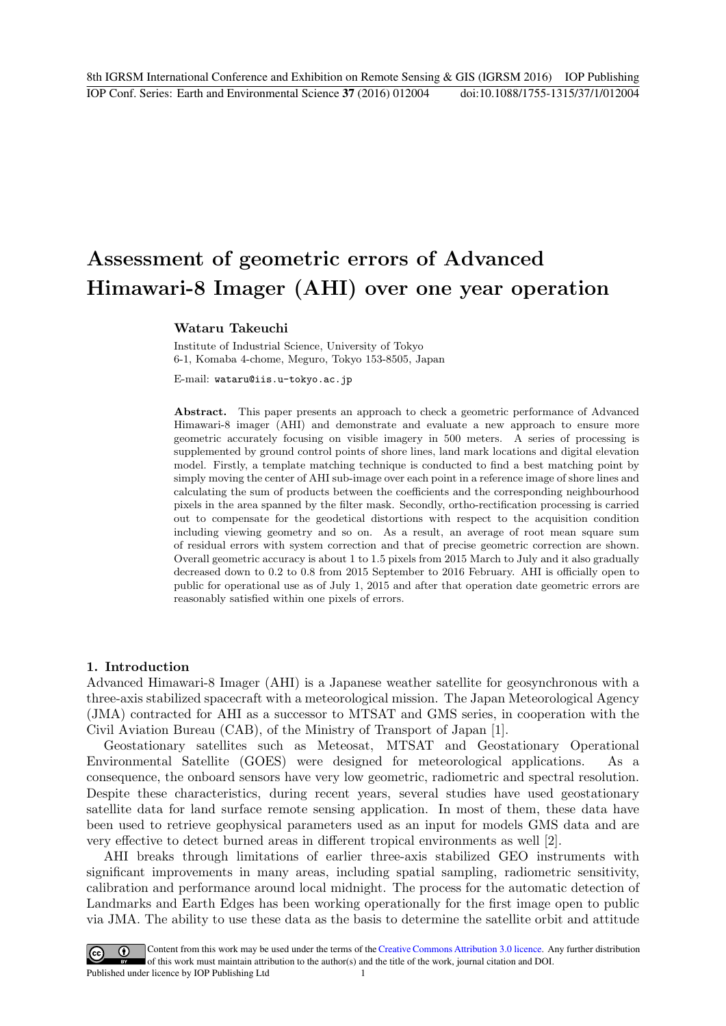# **Assessment of geometric errors of Advanced Himawari-8 Imager (AHI) over one year operation**

## **Wataru Takeuchi**

Institute of Industrial Science, University of Tokyo 6-1, Komaba 4-chome, Meguro, Tokyo 153-8505, Japan

E-mail: wataru@iis.u-tokyo.ac.jp

Abstract. This paper presents an approach to check a geometric performance of Advanced Himawari-8 imager (AHI) and demonstrate and evaluate a new approach to ensure more geometric accurately focusing on visible imagery in 500 meters. A series of processing is supplemented by ground control points of shore lines, land mark locations and digital elevation model. Firstly, a template matching technique is conducted to find a best matching point by simply moving the center of AHI sub-image over each point in a reference image of shore lines and calculating the sum of products between the coefficients and the corresponding neighbourhood pixels in the area spanned by the filter mask. Secondly, ortho-rectification processing is carried out to compensate for the geodetical distortions with respect to the acquisition condition including viewing geometry and so on. As a result, an average of root mean square sum of residual errors with system correction and that of precise geometric correction are shown. Overall geometric accuracy is about 1 to 1.5 pixels from 2015 March to July and it also gradually decreased down to 0.2 to 0.8 from 2015 September to 2016 February. AHI is officially open to public for operational use as of July 1, 2015 and after that operation date geometric errors are reasonably satisfied within one pixels of errors.

# **1. Introduction**

Advanced Himawari-8 Imager (AHI) is a Japanese weather satellite for geosynchronous with a three-axis stabilized spacecraft with a meteorological mission. The Japan Meteorological Agency (JMA) contracted for AHI as a successor to MTSAT and GMS series, in cooperation with the Civil Aviation Bureau (CAB), of the Ministry of Transport of Japan [1].

Geostationary satellites such as Meteosat, MTSAT and Geostationary Operational Environmental Satellite (GOES) were designed for meteorological applications. As a consequence, the onboard sensors have very low geometric, radiometric and spectral resolution. Despite these characteristics, during recent years, several studies have used geostationary satellite data for land surface remote sensing application. In most of them, these data have been used to retrieve geophysical parameters used as an input for models GMS data and are very effective to detect burned areas in different tropical environments as well [2].

AHI breaks through limitations of earlier three-axis stabilized GEO instruments with significant improvements in many areas, including spatial sampling, radiometric sensitivity, calibration and performance around local midnight. The process for the automatic detection of Landmarks and Earth Edges has been working operationally for the first image open to public via JMA. The ability to use these data as the basis to determine the satellite orbit and attitude

Content from this work may be used under the terms of theCreative Commons Attribution 3.0 licence. Any further distribution  $\bigcirc$  $\left(\mathrm{cc}\right)$ of this work must maintain attribution to the author(s) and the title of the work, journal citation and DOI. Published under licence by IOP Publishing Ltd 1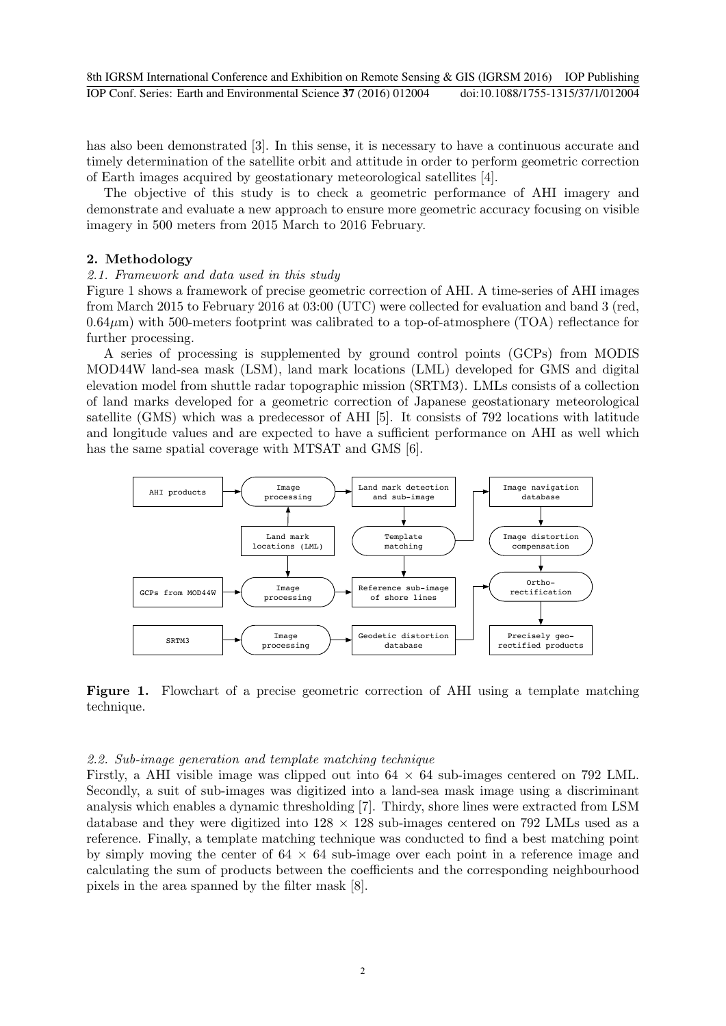has also been demonstrated [3]. In this sense, it is necessary to have a continuous accurate and timely determination of the satellite orbit and attitude in order to perform geometric correction of Earth images acquired by geostationary meteorological satellites [4].

The objective of this study is to check a geometric performance of AHI imagery and demonstrate and evaluate a new approach to ensure more geometric accuracy focusing on visible imagery in 500 meters from 2015 March to 2016 February.

# **2. Methodology**

# *2.1. Framework and data used in this study*

Figure 1 shows a framework of precise geometric correction of AHI. A time-series of AHI images from March 2015 to February 2016 at 03:00 (UTC) were collected for evaluation and band 3 (red,  $0.64\,\mu\text{m}$ ) with 500-meters footprint was calibrated to a top-of-atmosphere (TOA) reflectance for further processing.

A series of processing is supplemented by ground control points (GCPs) from MODIS MOD44W land-sea mask (LSM), land mark locations (LML) developed for GMS and digital elevation model from shuttle radar topographic mission (SRTM3). LMLs consists of a collection of land marks developed for a geometric correction of Japanese geostationary meteorological satellite (GMS) which was a predecessor of AHI [5]. It consists of 792 locations with latitude and longitude values and are expected to have a sufficient performance on AHI as well which has the same spatial coverage with MTSAT and GMS [6].



Figure 1. Flowchart of a precise geometric correction of AHI using a template matching technique.

# *2.2. Sub-image generation and template matching technique*

Firstly, a AHI visible image was clipped out into 64 *×* 64 sub-images centered on 792 LML. Secondly, a suit of sub-images was digitized into a land-sea mask image using a discriminant analysis which enables a dynamic thresholding [7]. Thirdy, shore lines were extracted from LSM database and they were digitized into 128 *×* 128 sub-images centered on 792 LMLs used as a reference. Finally, a template matching technique was conducted to find a best matching point by simply moving the center of 64 *×* 64 sub-image over each point in a reference image and calculating the sum of products between the coefficients and the corresponding neighbourhood pixels in the area spanned by the filter mask [8].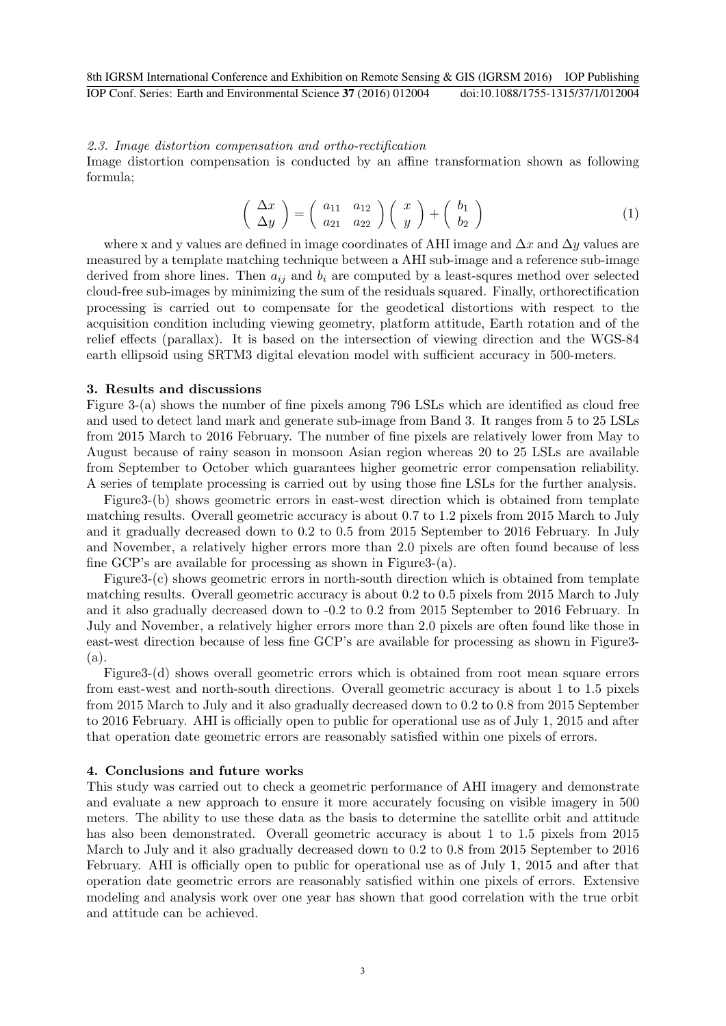## *2.3. Image distortion compensation and ortho-rectification*

Image distortion compensation is conducted by an affine transformation shown as following formula;

$$
\begin{pmatrix}\n\Delta x \\
\Delta y\n\end{pmatrix} = \begin{pmatrix}\na_{11} & a_{12} \\
a_{21} & a_{22}\n\end{pmatrix} \begin{pmatrix}\nx \\
y\n\end{pmatrix} + \begin{pmatrix}\nb_1 \\
b_2\n\end{pmatrix}
$$
\n(1)

where x and y values are defined in image coordinates of AHI image and ∆*x* and ∆*y* values are measured by a template matching technique between a AHI sub-image and a reference sub-image derived from shore lines. Then  $a_{ij}$  and  $b_i$  are computed by a least-squres method over selected cloud-free sub-images by minimizing the sum of the residuals squared. Finally, orthorectification processing is carried out to compensate for the geodetical distortions with respect to the acquisition condition including viewing geometry, platform attitude, Earth rotation and of the relief effects (parallax). It is based on the intersection of viewing direction and the WGS-84 earth ellipsoid using SRTM3 digital elevation model with sufficient accuracy in 500-meters.

#### **3. Results and discussions**

Figure 3-(a) shows the number of fine pixels among 796 LSLs which are identified as cloud free and used to detect land mark and generate sub-image from Band 3. It ranges from 5 to 25 LSLs from 2015 March to 2016 February. The number of fine pixels are relatively lower from May to August because of rainy season in monsoon Asian region whereas 20 to 25 LSLs are available from September to October which guarantees higher geometric error compensation reliability. A series of template processing is carried out by using those fine LSLs for the further analysis.

Figure3-(b) shows geometric errors in east-west direction which is obtained from template matching results. Overall geometric accuracy is about 0.7 to 1.2 pixels from 2015 March to July and it gradually decreased down to 0.2 to 0.5 from 2015 September to 2016 February. In July and November, a relatively higher errors more than 2.0 pixels are often found because of less fine GCP's are available for processing as shown in Figure3-(a).

Figure3-(c) shows geometric errors in north-south direction which is obtained from template matching results. Overall geometric accuracy is about 0.2 to 0.5 pixels from 2015 March to July and it also gradually decreased down to -0.2 to 0.2 from 2015 September to 2016 February. In July and November, a relatively higher errors more than 2.0 pixels are often found like those in east-west direction because of less fine GCP's are available for processing as shown in Figure3- (a).

Figure3-(d) shows overall geometric errors which is obtained from root mean square errors from east-west and north-south directions. Overall geometric accuracy is about 1 to 1.5 pixels from 2015 March to July and it also gradually decreased down to 0.2 to 0.8 from 2015 September to 2016 February. AHI is officially open to public for operational use as of July 1, 2015 and after that operation date geometric errors are reasonably satisfied within one pixels of errors.

# **4. Conclusions and future works**

This study was carried out to check a geometric performance of AHI imagery and demonstrate and evaluate a new approach to ensure it more accurately focusing on visible imagery in 500 meters. The ability to use these data as the basis to determine the satellite orbit and attitude has also been demonstrated. Overall geometric accuracy is about 1 to 1.5 pixels from 2015 March to July and it also gradually decreased down to 0.2 to 0.8 from 2015 September to 2016 February. AHI is officially open to public for operational use as of July 1, 2015 and after that operation date geometric errors are reasonably satisfied within one pixels of errors. Extensive modeling and analysis work over one year has shown that good correlation with the true orbit and attitude can be achieved.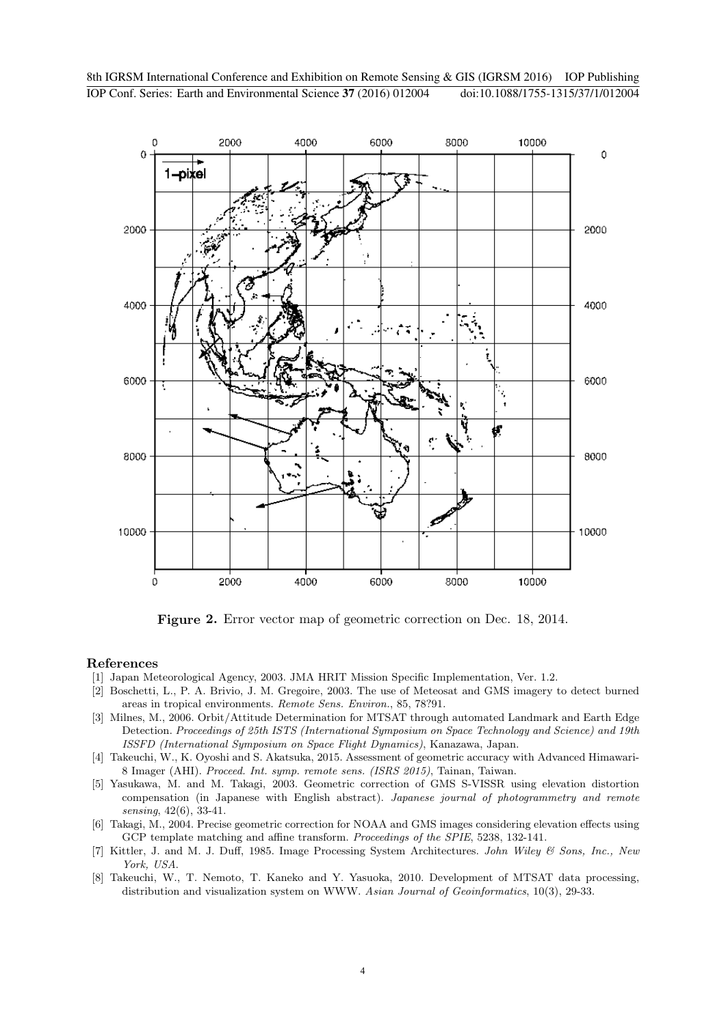

**Figure 2.** Error vector map of geometric correction on Dec. 18, 2014.

## **References**

- [1] Japan Meteorological Agency, 2003. JMA HRIT Mission Specific Implementation, Ver. 1.2.
- [2] Boschetti, L., P. A. Brivio, J. M. Gregoire, 2003. The use of Meteosat and GMS imagery to detect burned areas in tropical environments. *Remote Sens. Environ.*, 85, 78?91.
- [3] Milnes, M., 2006. Orbit/Attitude Determination for MTSAT through automated Landmark and Earth Edge Detection. *Proceedings of 25th ISTS (International Symposium on Space Technology and Science) and 19th ISSFD (International Symposium on Space Flight Dynamics)*, Kanazawa, Japan.
- [4] Takeuchi, W., K. Oyoshi and S. Akatsuka, 2015. Assessment of geometric accuracy with Advanced Himawari-8 Imager (AHI). *Proceed. Int. symp. remote sens. (ISRS 2015)*, Tainan, Taiwan.
- [5] Yasukawa, M. and M. Takagi, 2003. Geometric correction of GMS S-VISSR using elevation distortion compensation (in Japanese with English abstract). *Japanese journal of photogrammetry and remote sensing*, 42(6), 33-41.
- [6] Takagi, M., 2004. Precise geometric correction for NOAA and GMS images considering elevation effects using GCP template matching and affine transform. *Proceedings of the SPIE*, 5238, 132-141.
- [7] Kittler, J. and M. J. Duff, 1985. Image Processing System Architectures. *John Wiley & Sons, Inc., New York, USA*.
- [8] Takeuchi, W., T. Nemoto, T. Kaneko and Y. Yasuoka, 2010. Development of MTSAT data processing, distribution and visualization system on WWW. *Asian Journal of Geoinformatics*, 10(3), 29-33.